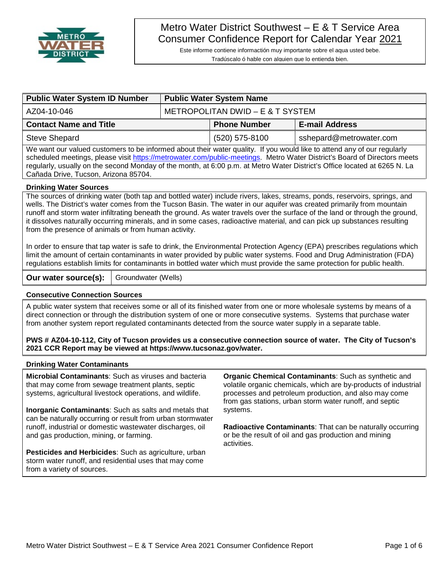

# Metro Water District Southwest – E & T Service Area Consumer Confidence Report for Calendar Year 2021

Este informe contiene informactión muy importante sobre el aqua usted bebe. Tradúscalo ó hable con alguien que lo entienda bien.

| <b>Public Water System ID Number</b>                                                                             | <b>Public Water System Name</b>  |                     |                         |  |  |  |
|------------------------------------------------------------------------------------------------------------------|----------------------------------|---------------------|-------------------------|--|--|--|
| AZ04-10-046                                                                                                      | METROPOLITAN DWID – E & T SYSTEM |                     |                         |  |  |  |
| <b>Contact Name and Title</b>                                                                                    |                                  | <b>Phone Number</b> | <b>E-mail Address</b>   |  |  |  |
| <b>Steve Shepard</b>                                                                                             |                                  | (520) 575-8100      | sshepard@metrowater.com |  |  |  |
| AME - CONSTRUCTION CONSTRUCTION IN THE CONTRACTOR OF THE CONSTRUCTION OF THE CONSTRUCTION OF THE CONSTRUCTION OF |                                  |                     |                         |  |  |  |

We want our valued customers to be informed about their water quality. If you would like to attend any of our regularly scheduled meetings, please visit [https://metrowater.com/public-meetings.](https://metrowater.com/public-meetings) Metro Water District's Board of Directors meets regularly, usually on the second Monday of the month, at 6:00 p.m. at Metro Water District's Office located at 6265 N. La Cañada Drive, Tucson, Arizona 85704.

#### **Drinking Water Sources**

The sources of drinking water (both tap and bottled water) include rivers, lakes, streams, ponds, reservoirs, springs, and wells. The District's water comes from the Tucson Basin. The water in our aquifer was created primarily from mountain runoff and storm water infiltrating beneath the ground. As water travels over the surface of the land or through the ground, it dissolves naturally occurring minerals, and in some cases, radioactive material, and can pick up substances resulting from the presence of animals or from human activity.

In order to ensure that tap water is safe to drink, the Environmental Protection Agency (EPA) prescribes regulations which limit the amount of certain contaminants in water provided by public water systems. Food and Drug Administration (FDA) regulations establish limits for contaminants in bottled water which must provide the same protection for public health.

**Our water source(s):** | Groundwater (Wells)

#### **Consecutive Connection Sources**

A public water system that receives some or all of its finished water from one or more wholesale systems by means of a direct connection or through the distribution system of one or more consecutive systems. Systems that purchase water from another system report regulated contaminants detected from the source water supply in a separate table.

**PWS # AZ04-10-112, City of Tucson provides us a consecutive connection source of water. The City of Tucson's 2021 CCR Report may be viewed at https://www.tucsonaz.gov/water.**

#### **Drinking Water Contaminants**

**Microbial Contaminants**: Such as viruses and bacteria that may come from sewage treatment plants, septic systems, agricultural livestock operations, and wildlife.

**Inorganic Contaminants**: Such as salts and metals that can be naturally occurring or result from urban stormwater runoff, industrial or domestic wastewater discharges, oil and gas production, mining, or farming.

**Pesticides and Herbicides**: Such as agriculture, urban storm water runoff, and residential uses that may come from a variety of sources.

**Organic Chemical Contaminants**: Such as synthetic and volatile organic chemicals, which are by-products of industrial processes and petroleum production, and also may come from gas stations, urban storm water runoff, and septic systems.

**Radioactive Contaminants**: That can be naturally occurring or be the result of oil and gas production and mining activities.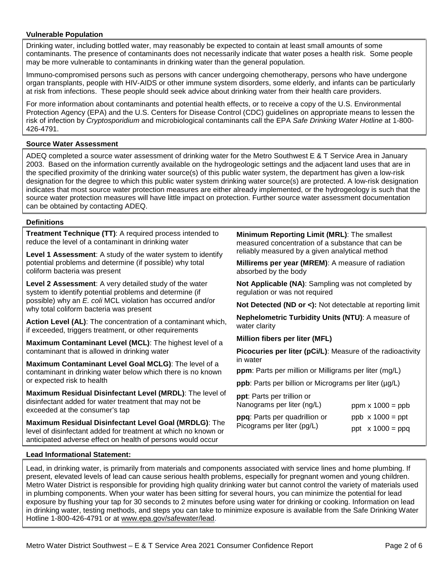#### **Vulnerable Population**

Drinking water, including bottled water, may reasonably be expected to contain at least small amounts of some contaminants. The presence of contaminants does not necessarily indicate that water poses a health risk. Some people may be more vulnerable to contaminants in drinking water than the general population.

Immuno-compromised persons such as persons with cancer undergoing chemotherapy, persons who have undergone organ transplants, people with HIV-AIDS or other immune system disorders, some elderly, and infants can be particularly at risk from infections. These people should seek advice about drinking water from their health care providers.

For more information about contaminants and potential health effects, or to receive a copy of the U.S. Environmental Protection Agency (EPA) and the U.S. Centers for Disease Control (CDC) guidelines on appropriate means to lessen the risk of infection by *Cryptosporidium* and microbiological contaminants call the EPA *Safe Drinking Water Hotline* at 1-800- 426-4791.

### **Source Water Assessment**

ADEQ completed a source water assessment of drinking water for the Metro Southwest E & T Service Area in January 2003. Based on the information currently available on the hydrogeologic settings and the adjacent land uses that are in the specified proximity of the drinking water source(s) of this public water system, the department has given a low-risk designation for the degree to which this public water system drinking water source(s) are protected. A low-risk designation indicates that most source water protection measures are either already implemented, or the hydrogeology is such that the source water protection measures will have little impact on protection. Further source water assessment documentation can be obtained by contacting ADEQ.

#### **Definitions**

**Treatment Technique (TT)**: A required process intended to reduce the level of a contaminant in drinking water

**Level 1 Assessment**: A study of the water system to identify potential problems and determine (if possible) why total coliform bacteria was present

**Level 2 Assessment**: A very detailed study of the water system to identify potential problems and determine (if possible) why an *E. coli* MCL violation has occurred and/or why total coliform bacteria was present

**Action Level (AL)**: The concentration of a contaminant which, if exceeded, triggers treatment, or other requirements

**Maximum Contaminant Level (MCL)**: The highest level of a contaminant that is allowed in drinking water

**Maximum Contaminant Level Goal MCLG)**: The level of a contaminant in drinking water below which there is no known or expected risk to health

**Maximum Residual Disinfectant Level (MRDL)**: The level of disinfectant added for water treatment that may not be exceeded at the consumer's tap

**Maximum Residual Disinfectant Level Goal (MRDLG)**: The level of disinfectant added for treatment at which no known or anticipated adverse effect on health of persons would occur

**Minimum Reporting Limit (MRL)**: The smallest measured concentration of a substance that can be reliably measured by a given analytical method

**Millirems per year (MREM)**: A measure of radiation absorbed by the body

**Not Applicable (NA)**: Sampling was not completed by regulation or was not required

**Not Detected (ND or <):** Not detectable at reporting limit

**Nephelometric Turbidity Units (NTU)**: A measure of water clarity

**Million fibers per liter (MFL)**

**Picocuries per liter (pCi/L)**: Measure of the radioactivity in water

**ppm**: Parts per million or Milligrams per liter (mg/L)

**ppb**: Parts per billion or Micrograms per liter (µg/L)

**ppt**: Parts per trillion or Nanograms per liter (ng/L)

| ן ויסווטעומוווס טכו וונכו נווער בן    | $p_{\text{PIII}} \times 1000 = p_{\text{DU}}$ |
|---------------------------------------|-----------------------------------------------|
| <b>ppq</b> : Parts per quadrillion or | $ppb \times 1000 = ppt$                       |
| Picograms per liter (pg/L)            | ppt $x 1000 = ppq$                            |

#### **Lead Informational Statement:**

Lead, in drinking water, is primarily from materials and components associated with service lines and home plumbing. If present, elevated levels of lead can cause serious health problems, especially for pregnant women and young children. Metro Water District is responsible for providing high quality drinking water but cannot control the variety of materials used in plumbing components. When your water has been sitting for several hours, you can minimize the potential for lead exposure by flushing your tap for 30 seconds to 2 minutes before using water for drinking or cooking. Information on lead in drinking water, testing methods, and steps you can take to minimize exposure is available from the Safe Drinking Water Hotline 1-800-426-4791 or at [www.epa.gov/safewater/lead.](http://www.epa.gov/safewater/lead)

 $p_{\text{max}} \times 4000$  ppb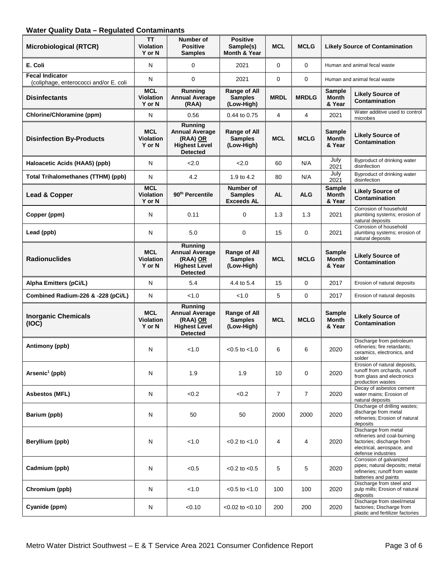## **Water Quality Data – Regulated Contaminants**

| <b>Microbiological (RTCR)</b>                                    | TΤ<br><b>Violation</b><br>Y or N         | Number of<br><b>Positive</b><br><b>Samples</b>                                          | <b>Positive</b><br>Sample(s)<br>Month & Year        | <b>MCL</b>     | <b>MCLG</b>    | <b>Likely Source of Contamination</b>   |                                                                                                                                      |
|------------------------------------------------------------------|------------------------------------------|-----------------------------------------------------------------------------------------|-----------------------------------------------------|----------------|----------------|-----------------------------------------|--------------------------------------------------------------------------------------------------------------------------------------|
| E. Coli                                                          | N                                        | 0                                                                                       | 2021                                                | $\Omega$       | 0              | Human and animal fecal waste            |                                                                                                                                      |
| <b>Fecal Indicator</b><br>(coliphage, enterococci and/or E. coli | N                                        | $\mathbf 0$                                                                             | 2021                                                | $\mathbf 0$    | 0              |                                         | Human and animal fecal waste                                                                                                         |
| <b>Disinfectants</b>                                             | <b>MCL</b><br><b>Violation</b><br>Y or N | Running<br><b>Annual Average</b><br>(RAA)                                               | Range of All<br><b>Samples</b><br>(Low-High)        | <b>MRDL</b>    | <b>MRDLG</b>   | <b>Sample</b><br>Month<br>& Year        | <b>Likely Source of</b><br>Contamination                                                                                             |
| Chlorine/Chloramine (ppm)                                        | N                                        | 0.56                                                                                    | 0.44 to 0.75                                        | 4              | 4              | 2021                                    | Water additive used to control<br>microbes                                                                                           |
| <b>Disinfection By-Products</b>                                  | <b>MCL</b><br><b>Violation</b><br>Y or N | Running<br><b>Annual Average</b><br>(RAA) OR<br><b>Highest Level</b><br><b>Detected</b> | <b>Range of All</b><br><b>Samples</b><br>(Low-High) | <b>MCL</b>     | <b>MCLG</b>    | <b>Sample</b><br><b>Month</b><br>& Year | <b>Likely Source of</b><br>Contamination                                                                                             |
| Haloacetic Acids (HAA5) (ppb)                                    | N                                        | 2.0                                                                                     | 2.0                                                 | 60             | N/A            | July<br>2021                            | Byproduct of drinking water<br>disinfection                                                                                          |
| <b>Total Trihalomethanes (TTHM) (ppb)</b>                        | N                                        | 4.2                                                                                     | 1.9 to 4.2                                          | 80             | N/A            | July<br>2021                            | Byproduct of drinking water<br>disinfection                                                                                          |
| Lead & Copper                                                    | <b>MCL</b><br><b>Violation</b><br>Y or N | 90 <sup>th</sup> Percentile                                                             | Number of<br><b>Samples</b><br><b>Exceeds AL</b>    | <b>AL</b>      | <b>ALG</b>     | <b>Sample</b><br><b>Month</b><br>& Year | <b>Likely Source of</b><br>Contamination                                                                                             |
| Copper (ppm)                                                     | N                                        | 0.11                                                                                    | $\mathbf 0$                                         | 1.3            | 1.3            | 2021                                    | Corrosion of household<br>plumbing systems; erosion of<br>natural deposits                                                           |
| Lead (ppb)                                                       | N                                        | 5.0                                                                                     | 0                                                   | 15             | 0              | 2021                                    | Corrosion of household<br>plumbing systems; erosion of<br>natural deposits                                                           |
| <b>Radionuclides</b>                                             | <b>MCL</b><br><b>Violation</b><br>Y or N | Running<br><b>Annual Average</b><br>(RAA) OR<br><b>Highest Level</b><br><b>Detected</b> | Range of All<br><b>Samples</b><br>(Low-High)        | <b>MCL</b>     | <b>MCLG</b>    | <b>Sample</b><br><b>Month</b><br>& Year | <b>Likely Source of</b><br>Contamination                                                                                             |
| Alpha Emitters (pCi/L)                                           | N                                        | 5.4                                                                                     | 4.4 to 5.4                                          | 15             | 0              | 2017                                    | Erosion of natural deposits                                                                                                          |
| Combined Radium-226 & -228 (pCi/L)                               | N                                        | < 1.0                                                                                   | < 1.0                                               | 5              | 0              | 2017                                    | Erosion of natural deposits                                                                                                          |
| <b>Inorganic Chemicals</b><br>(IOC)                              | <b>MCL</b><br><b>Violation</b><br>Y or N | Running<br><b>Annual Average</b><br>(RAA) OR<br><b>Highest Level</b><br><b>Detected</b> | Range of All<br><b>Samples</b><br>(Low-High)        | <b>MCL</b>     | <b>MCLG</b>    | <b>Sample</b><br><b>Month</b><br>& Year | <b>Likely Source of</b><br>Contamination                                                                                             |
| Antimony (ppb)                                                   | N                                        | < 1.0                                                                                   | $< 0.5$ to $< 1.0$                                  | 6              | 6              | 2020                                    | Discharge from petroleum<br>refineries; fire retardants;<br>ceramics, electronics, and<br>solder                                     |
| Arsenic <sup>1</sup> (ppb)                                       | N                                        | 1.9                                                                                     | 1.9                                                 | 10             | $\mathbf 0$    | 2020                                    | Erosion of natural deposits,<br>runoff from orchards, runoff<br>from glass and electronics<br>production wastes                      |
| <b>Asbestos (MFL)</b>                                            | $\mathsf{N}$                             | < 0.2                                                                                   | < 0.2                                               | $\overline{7}$ | $\overline{7}$ | 2020                                    | Decay of asbestos cement<br>water mains; Erosion of<br>natural deposits                                                              |
| Barium (ppb)                                                     | N                                        | 50                                                                                      | 50                                                  | 2000           | 2000           | 2020                                    | Discharge of drilling wastes;<br>discharge from metal<br>refineries; Erosion of natural<br>deposits                                  |
| Beryllium (ppb)                                                  | N                                        | < 1.0                                                                                   | $< 0.2$ to $< 1.0$                                  | 4              | 4              | 2020                                    | Discharge from metal<br>refineries and coal-burning<br>factories; discharge from<br>electrical, aerospace, and<br>defense industries |
| Cadmium (ppb)                                                    | N                                        | < 0.5                                                                                   | $< 0.2$ to $< 0.5$                                  | 5              | 5              | 2020                                    | Corrosion of galvanized<br>pipes; natural deposits; metal<br>refineries; runoff from waste<br>batteries and paints                   |
| Chromium (ppb)                                                   | N                                        | < 1.0                                                                                   | $< 0.5$ to $< 1.0$                                  | 100            | 100            | 2020                                    | Discharge from steel and<br>pulp mills; Erosion of natural<br>deposits                                                               |
| Cyanide (ppm)                                                    | N                                        | < 0.10                                                                                  | $< 0.02$ to $< 0.10$                                | 200            | 200            | 2020                                    | Discharge from steel/metal<br>factories; Discharge from<br>plastic and fertilizer factories                                          |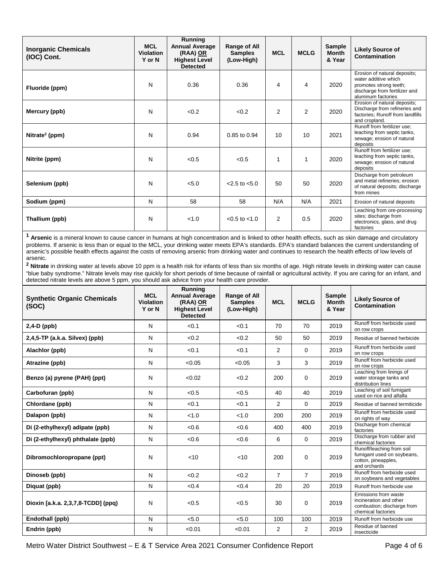| <b>Inorganic Chemicals</b><br>(IOC) Cont. | <b>MCL</b><br><b>Violation</b><br>Y or N | Running<br><b>Annual Average</b><br>(RAA) OR<br><b>Highest Level</b><br><b>Detected</b> | Range of All<br><b>Samples</b><br>(Low-High) | <b>MCL</b>     | <b>MCLG</b>    | Sample<br><b>Month</b><br>& Year | <b>Likely Source of</b><br>Contamination                                                                                              |
|-------------------------------------------|------------------------------------------|-----------------------------------------------------------------------------------------|----------------------------------------------|----------------|----------------|----------------------------------|---------------------------------------------------------------------------------------------------------------------------------------|
| Fluoride (ppm)                            | N                                        | 0.36                                                                                    | 0.36                                         | 4              | 4              | 2020                             | Erosion of natural deposits;<br>water additive which<br>promotes strong teeth;<br>discharge from fertilizer and<br>aluminum factories |
| Mercury (ppb)                             | N                                        | < 0.2                                                                                   | <0.2                                         | $\overline{2}$ | $\overline{2}$ | 2020                             | Erosion of natural deposits;<br>Discharge from refineries and<br>factories; Runoff from landfills<br>and cropland.                    |
| Nitrate <sup>2</sup> (ppm)                | N                                        | 0.94                                                                                    | 0.85 to 0.94                                 | 10             | 10             | 2021                             | Runoff from fertilizer use;<br>leaching from septic tanks,<br>sewage; erosion of natural<br>deposits                                  |
| Nitrite (ppm)                             | N                                        | < 0.5                                                                                   | < 0.5                                        | 1              | 1              | 2020                             | Runoff from fertilizer use:<br>leaching from septic tanks,<br>sewage; erosion of natural<br>deposits                                  |
| Selenium (ppb)                            | N                                        | < 5.0                                                                                   | $<$ 2.5 to $<$ 5.0                           | 50             | 50             | 2020                             | Discharge from petroleum<br>and metal refineries; erosion<br>of natural deposits; discharge<br>from mines                             |
| Sodium (ppm)                              | N                                        | 58                                                                                      | 58                                           | N/A            | N/A            | 2021                             | Erosion of natural deposits                                                                                                           |
| Thallium (ppb)                            | N                                        | < 1.0                                                                                   | $< 0.5$ to $< 1.0$                           | $\overline{2}$ | 0.5            | 2020                             | Leaching from ore-processing<br>sites; discharge from<br>electronics, glass, and drug<br>factories                                    |

**<sup>1</sup> Arsenic** is a mineral known to cause cancer in humans at high concentration and is linked to other health effects, such as skin damage and circulatory problems. If arsenic is less than or equal to the MCL, your drinking water meets EPA's standards. EPA's standard balances the current understanding of arsenic's possible health effects against the costs of removing arsenic from drinking water and continues to research the health effects of low levels of arsenic.

**<sup>2</sup> Nitrate** in drinking water at levels above 10 ppm is a health risk for infants of less than six months of age. High nitrate levels in drinking water can cause "blue baby syndrome." Nitrate levels may rise quickly for short periods of time because of rainfall or agricultural activity. If you are caring for an infant, and detected nitrate levels are above 5 ppm, you should ask advice from your health care provider.

| <b>Synthetic Organic Chemicals</b><br>(SOC) | <b>MCL</b><br><b>Violation</b><br>Y or N | Running<br><b>Annual Average</b><br>(RAA) OR<br><b>Highest Level</b><br><b>Detected</b> | <b>Range of All</b><br><b>Samples</b><br>(Low-High) | <b>MCL</b>     | <b>MCLG</b>    | <b>Sample</b><br><b>Month</b><br>& Year | <b>Likely Source of</b><br>Contamination                                                           |
|---------------------------------------------|------------------------------------------|-----------------------------------------------------------------------------------------|-----------------------------------------------------|----------------|----------------|-----------------------------------------|----------------------------------------------------------------------------------------------------|
| $2,4-D$ (ppb)                               | N                                        | < 0.1                                                                                   | < 0.1                                               | 70             | 70             | 2019                                    | Runoff from herbicide used<br>on row crops                                                         |
| $2,4,5$ -TP (a.k.a. Silvex) (ppb)           | N                                        | < 0.2                                                                                   | <0.2                                                | 50             | 50             | 2019                                    | Residue of banned herbicide                                                                        |
| Alachlor (ppb)                              | N                                        | < 0.1                                                                                   | < 0.1                                               | $\overline{2}$ | $\Omega$       | 2019                                    | Runoff from herbicide used<br>on row crops                                                         |
| Atrazine (ppb)                              | N                                        | < 0.05                                                                                  | < 0.05                                              | 3              | 3              | 2019                                    | Runoff from herbicide used<br>on row crops                                                         |
| Benzo (a) pyrene (PAH) (ppt)                | N                                        | < 0.02                                                                                  | < 0.2                                               | 200            | $\Omega$       | 2019                                    | Leaching from linings of<br>water storage tanks and<br>distribution lines                          |
| Carbofuran (ppb)                            | N                                        | < 0.5                                                                                   | < 0.5                                               | 40             | 40             | 2019                                    | Leaching of soil fumigant<br>used on rice and alfalfa                                              |
| Chlordane (ppb)                             | N                                        | < 0.1                                                                                   | < 0.1                                               | 2              | $\Omega$       | 2019                                    | Residue of banned termiticide                                                                      |
| Dalapon (ppb)                               | N                                        | < 1.0                                                                                   | < 1.0                                               | 200            | 200            | 2019                                    | Runoff from herbicide used<br>on rights of way                                                     |
| Di (2-ethylhexyl) adipate (ppb)             | N                                        | <0.6                                                                                    | <0.6                                                | 400            | 400            | 2019                                    | Discharge from chemical<br>factories                                                               |
| Di (2-ethylhexyl) phthalate (ppb)           | N                                        | <0.6                                                                                    | <0.6                                                | 6              | $\Omega$       | 2019                                    | Discharge from rubber and<br>chemical factories                                                    |
| Dibromochloropropane (ppt)                  | N                                        | < 10                                                                                    | < 10                                                | 200            | $\Omega$       | 2019                                    | Runoff/leaching from soil<br>fumigant used on soybeans,<br>cotton, pineapples,<br>and orchards     |
| Dinoseb (ppb)                               | N                                        | < 0.2                                                                                   | <0.2                                                | $\overline{7}$ | $\overline{7}$ | 2019                                    | Runoff from herbicide used<br>on soybeans and vegetables                                           |
| Diquat (ppb)                                | N                                        | < 0.4                                                                                   | < 0.4                                               | 20             | 20             | 2019                                    | Runoff from herbicide use                                                                          |
| Dioxin [a.k.a. 2,3,7,8-TCDD] (ppq)          | N                                        | < 0.5                                                                                   | <0.5                                                | 30             | $\Omega$       | 2019                                    | Emissions from waste<br>incineration and other<br>combustion; discharge from<br>chemical factories |
| Endothall (ppb)                             | $\mathsf{N}$                             | < 5.0                                                                                   | < 5.0                                               | 100            | 100            | 2019                                    | Runoff from herbicide use                                                                          |
| Endrin (ppb)                                | N                                        | < 0.01                                                                                  | < 0.01                                              | $\overline{2}$ | 2              | 2019                                    | Residue of banned<br>insecticide                                                                   |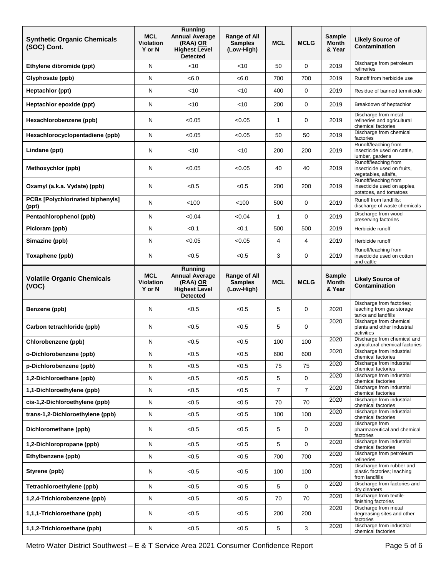| <b>Synthetic Organic Chemicals</b><br>(SOC) Cont.          | <b>MCL</b><br><b>Violation</b><br>Y or N | <b>Running</b><br><b>Annual Average</b><br>(RAA) OR<br><b>Highest Level</b><br><b>Detected</b> | <b>Range of All</b><br><b>Samples</b><br>(Low-High) | <b>MCL</b>   | <b>MCLG</b>    | <b>Sample</b><br><b>Month</b><br>& Year | <b>Likely Source of</b><br>Contamination                                                            |
|------------------------------------------------------------|------------------------------------------|------------------------------------------------------------------------------------------------|-----------------------------------------------------|--------------|----------------|-----------------------------------------|-----------------------------------------------------------------------------------------------------|
| Ethylene dibromide (ppt)                                   | N                                        | < 10                                                                                           | $<$ 10                                              | 50           | 0              | 2019                                    | Discharge from petroleum<br>refineries                                                              |
| Glyphosate (ppb)                                           | ${\sf N}$                                | < 6.0                                                                                          | <6.0                                                | 700          | 700            | 2019                                    | Runoff from herbicide use                                                                           |
| Heptachlor (ppt)                                           | Ν                                        | $<$ 10                                                                                         | $<$ 10                                              | 400          | 0              | 2019                                    | Residue of banned termiticide                                                                       |
| Heptachlor epoxide (ppt)                                   | N                                        | $<$ 10                                                                                         | ~10                                                 | 200          | 0              | 2019                                    | Breakdown of heptachlor                                                                             |
| Hexachlorobenzene (ppb)                                    | N                                        | < 0.05                                                                                         | < 0.05                                              | 1            | 0              | 2019                                    | Discharge from metal<br>refineries and agricultural<br>chemical factories                           |
| Hexachlorocyclopentadiene (ppb)                            | N                                        | < 0.05                                                                                         | < 0.05                                              | 50           | 50             | 2019                                    | Discharge from chemical<br>factories                                                                |
| Lindane (ppt)                                              | N                                        | $<$ 10                                                                                         | <10                                                 | 200          | 200            | 2019                                    | Runoff/leaching from<br>insecticide used on cattle,<br>lumber, gardens                              |
| Methoxychlor (ppb)                                         | N                                        | < 0.05                                                                                         | < 0.05                                              | 40           | 40             | 2019                                    | Runoff/leaching from<br>insecticide used on fruits,<br>vegetables, alfalfa,<br>Runoff/leaching from |
| Oxamyl (a.k.a. Vydate) (ppb)                               | N                                        | < 0.5                                                                                          | < 0.5                                               | 200          | 200            | 2019                                    | insecticide used on apples,<br>potatoes, and tomatoes                                               |
| <b>PCBs [Polychlorinated biphenyls]</b><br>(ppt)           | N                                        | < 100                                                                                          | < 100                                               | 500          | 0              | 2019                                    | Runoff from landfills;<br>discharge of waste chemicals                                              |
| Pentachlorophenol (ppb)                                    | ${\sf N}$                                | <0.04                                                                                          | < 0.04                                              | $\mathbf{1}$ | 0              | 2019                                    | Discharge from wood<br>preserving factories                                                         |
| Picloram (ppb)                                             | N                                        | < 0.1                                                                                          | < 0.1                                               | 500          | 500            | 2019                                    | Herbicide runoff                                                                                    |
| Simazine (ppb)                                             | N                                        | < 0.05                                                                                         | < 0.05                                              | 4            | 4              | 2019                                    | Herbicide runoff                                                                                    |
| Toxaphene (ppb)                                            | N                                        | < 0.5                                                                                          | < 0.5                                               | 3            | 0              | 2019                                    | Runoff/leaching from<br>insecticide used on cotton<br>and cattle                                    |
| <b>Volatile Organic Chemicals</b><br>(VOC)                 | <b>MCL</b><br><b>Violation</b><br>Y or N | Running<br><b>Annual Average</b><br>(RAA) OR<br><b>Highest Level</b><br><b>Detected</b>        | <b>Range of All</b><br><b>Samples</b><br>(Low-High) | <b>MCL</b>   | <b>MCLG</b>    | <b>Sample</b><br><b>Month</b><br>& Year | <b>Likely Source of</b><br>Contamination                                                            |
| Benzene (ppb)                                              | N                                        | < 0.5                                                                                          | < 0.5                                               | 5            | $\mathbf 0$    | 2020                                    | Discharge from factories;<br>leaching from gas storage<br>tanks and landfills                       |
| Carbon tetrachloride (ppb)                                 | N                                        | < 0.5                                                                                          | < 0.5                                               | 5            | $\mathbf 0$    | 2020                                    | Discharge from chemical<br>plants and other industrial<br>activities                                |
| Chlorobenzene (ppb)                                        | N                                        | < 0.5                                                                                          | < 0.5                                               | 100          | 100            | $\frac{1}{2020}$                        | Discharge from chemical and<br>agricultural chemical factories                                      |
| o-Dichlorobenzene (ppb)                                    | N                                        | < 0.5                                                                                          | <0.5                                                | 600          | 600            | 2020                                    | Discharge from industrial<br>chemical factories                                                     |
| p-Dichlorobenzene (ppb)                                    | N                                        | < 0.5                                                                                          | < 0.5                                               | 75           | 75             | 2020                                    | Discharge from industrial<br>chemical factories                                                     |
| 1,2-Dichloroethane (ppb)                                   | N                                        | < 0.5                                                                                          | < 0.5                                               | 5            | $\mathbf 0$    | 2020                                    | Discharge from industrial<br>chemical factories                                                     |
| 1,1-Dichloroethylene (ppb)                                 | N                                        | < 0.5                                                                                          | < 0.5                                               | 7            | $\overline{7}$ | 2020                                    | Discharge from industrial<br>chemical factories                                                     |
| cis-1,2-Dichloroethylene (ppb)                             | N                                        | < 0.5                                                                                          | < 0.5                                               | 70           | 70             | 2020                                    | Discharge from industrial<br>chemical factories                                                     |
| trans-1,2-Dichloroethylene (ppb)                           | N                                        | < 0.5                                                                                          | < 0.5                                               | 100          | 100            | 2020                                    | Discharge from industrial<br>chemical factories                                                     |
| Dichloromethane (ppb)                                      | N                                        | < 0.5                                                                                          | < 0.5                                               | 5            | 0              | 2020                                    | Discharge from<br>pharmaceutical and chemical<br>factories                                          |
| 1,2-Dichloropropane (ppb)                                  | N                                        | < 0.5                                                                                          | < 0.5                                               | 5            | $\mathbf{0}$   | 2020                                    | Discharge from industrial<br>chemical factories                                                     |
| Ethylbenzene (ppb)                                         | ${\sf N}$                                | < 0.5                                                                                          | < 0.5                                               | 700          | 700            | 2020                                    | Discharge from petroleum<br>refineries                                                              |
| Styrene (ppb)                                              | N                                        | < 0.5                                                                                          | < 0.5                                               | 100          | 100            | 2020                                    | Discharge from rubber and<br>plastic factories; leaching<br>from landfills                          |
| Tetrachloroethylene (ppb)                                  |                                          |                                                                                                |                                                     | 5            | $\mathbf 0$    | 2020                                    | Discharge from factories and<br>dry cleaners                                                        |
|                                                            | N                                        | < 0.5                                                                                          | < 0.5                                               |              |                |                                         |                                                                                                     |
| 1,2,4-Trichlorobenzene (ppb)                               | N                                        | < 0.5                                                                                          | < 0.5                                               | 70           | 70             | 2020                                    | Discharge from textile-<br>finishing factories                                                      |
| 1,1,1-Trichloroethane (ppb)<br>1,1,2-Trichloroethane (ppb) | N<br>N                                   | < 0.5                                                                                          | < 0.5                                               | 200          | 200<br>3       | 2020<br>2020                            | Discharge from metal<br>degreasing sites and other<br>factories<br>Discharge from industrial        |